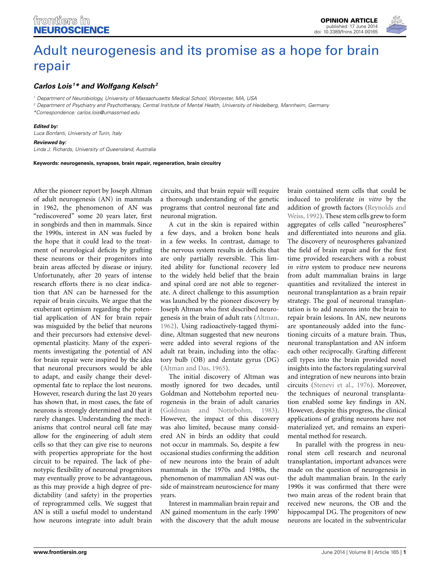

# [Adult neurogenesis and its promise as a hope for brain](http://www.frontiersin.org/journal/10.3389/fnins.2014.00165/full) repair

## *[Carlos Lois](http://community.frontiersin.org/people/u/116974) <sup>1</sup> \* and [Wolfgang Kelsch](http://community.frontiersin.org/people/u/165995)2*

*<sup>1</sup> Department of Neurobiology, University of Massachusetts Medical School, Worcester, MA, USA*

*<sup>2</sup> Department of Psychiatry and Psychotherapy, Central Institute of Mental Health, University of Heidelberg, Mannheim, Germany*

*\*Correspondence: [carlos.lois@umassmed.edu](mailto:carlos.lois@umassmed.edu)*

### *Edited by:*

*Luca Bonfanti, University of Turin, Italy*

*Reviewed by: Linda J. Richards, University of Queensland, Australia*

**Keywords: neurogenesis, synapses, brain repair, regeneration, brain circuitry**

After the pioneer report by Joseph Altman of adult neurogenesis (AN) in mammals in 1962, the phenomenon of AN was "rediscovered" some 20 years later, first in songbirds and then in mammals. Since the 1990s, interest in AN was fueled by the hope that it could lead to the treatment of neurological deficits by grafting these neurons or their progenitors into brain areas affected by disease or injury. Unfortunately, after 20 years of intense research efforts there is no clear indication that AN can be harnessed for the repair of brain circuits. We argue that the exuberant optimism regarding the potential application of AN for brain repair was misguided by the belief that neurons and their precursors had extensive developmental plasticity. Many of the experiments investigating the potential of AN for brain repair were inspired by the idea that neuronal precursors would be able to adapt, and easily change their developmental fate to replace the lost neurons. However, research during the last 20 years has shown that, in most cases, the fate of neurons is strongly determined and that it rarely changes. Understanding the mechanisms that control neural cell fate may allow for the engineering of adult stem cells so that they can give rise to neurons with properties appropriate for the host circuit to be repaired. The lack of phenotypic flexibility of neuronal progenitors may eventually prove to be advantageous, as this may provide a high degree of predictability (and safety) in the properties of reprogrammed cells. We suggest that AN is still a useful model to understand how neurons integrate into adult brain

circuits, and that brain repair will require a thorough understanding of the genetic programs that control neuronal fate and neuronal migration.

A cut in the skin is repaired within a few days, and a broken bone heals in a few weeks. In contrast, damage to the nervous system results in deficits that are only partially reversible. This limited ability for functional recovery led to the widely held belief that the brain and spinal cord are not able to regenerate. A direct challenge to this assumption was launched by the pioneer discovery by Joseph Altman who first described neurogenesis in the brain of adult rats [\(Altman,](#page-2-0) [1962](#page-2-0)). Using radioactively-tagged thymidine, Altman suggested that new neurons were added into several regions of the adult rat brain, including into the olfactory bulb (OB) and dentate gyrus (DG) [\(Altman and Das](#page-2-1), [1965](#page-2-1)).

The initial discovery of Altman was mostly ignored for two decades, until Goldman and Nottebohm reported neurogenesis in the brain of adult canaries [\(Goldman and Nottebohm](#page-2-2), [1983](#page-2-2)). However, the impact of this discovery was also limited, because many considered AN in birds an oddity that could not occur in mammals. So, despite a few occasional studies confirming the addition of new neurons into the brain of adult mammals in the 1970s and 1980s, the phenomenon of mammalian AN was outside of mainstream neuroscience for many years.

Interest in mammalian brain repair and AN gained momentum in the early 1990' with the discovery that the adult mouse

brain contained stem cells that could be induced to proliferate *in vitro* by the addit[ion of growth factors \(](#page-2-3)Reynolds and Weiss, [1992\)](#page-2-3). These stem cells grew to form aggregates of cells called "neurospheres" and differentiated into neurons and glia. The discovery of neurospheres galvanized the field of brain repair and for the first time provided researchers with a robust *in vitro* system to produce new neurons from adult mammalian brains in large quantities and revitalized the interest in neuronal transplantation as a brain repair strategy. The goal of neuronal transplantation is to add neurons into the brain to repair brain lesions. In AN, new neurons are spontaneously added into the functioning circuits of a mature brain. Thus, neuronal transplantation and AN inform each other reciprocally. Grafting different cell types into the brain provided novel insights into the factors regulating survival and integration of new neurons into brain circuits [\(Stenevi et al.](#page-2-4), [1976](#page-2-4)). Moreover, the techniques of neuronal transplantation enabled some key findings in AN. However, despite this progress, the clinical applications of grafting neurons have not materialized yet, and remains an experimental method for research.

In parallel with the progress in neuronal stem cell research and neuronal transplantation, important advances were made on the question of neurogenesis in the adult mammalian brain. In the early 1990s it was confirmed that there were two main areas of the rodent brain that received new neurons, the OB and the hippocampal DG. The progenitors of new neurons are located in the subventricular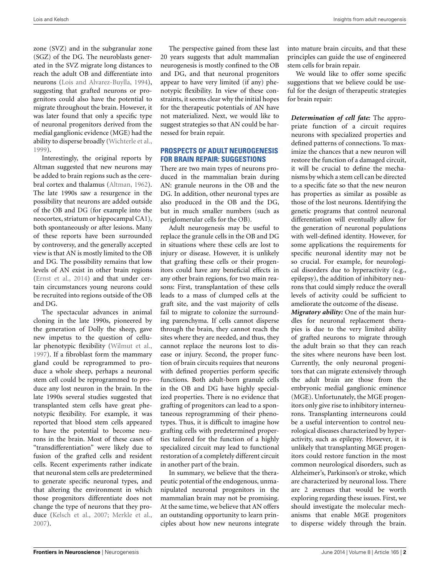zone (SVZ) and in the subgranular zone (SGZ) of the DG. The neuroblasts generated in the SVZ migrate long distances to reach the adult OB and differentiate into neurons [\(Lois and Alvarez-Buylla, 1994](#page-2-5)), suggesting that grafted neurons or progenitors could also have the potential to migrate throughout the brain. However, it was later found that only a specific type of neuronal progenitors derived from the medial ganglionic evidence (MGE) had the ability to disperse broadly [\(Wichterle et al.,](#page-2-6) [1999](#page-2-6)).

Interestingly, the original reports by Altman suggested that new neurons may be added to brain regions such as the cerebral cortex and thalamus [\(Altman, 1962](#page-2-0)). The late 1990s saw a resurgence in the possibility that neurons are added outside of the OB and DG (for example into the neocortex, striatum or hippocampal CA1), both spontaneously or after lesions. Many of these reports have been surrounded by controversy, and the generally accepted view is that AN is mostly limited to the OB and DG. The possibility remains that low levels of AN exist in other brain regions [\(Ernst et al.](#page-2-7), [2014](#page-2-7)) and that under certain circumstances young neurons could be recruited into regions outside of the OB and DG.

The spectacular advances in animal cloning in the late 1990s, pioneered by the generation of Dolly the sheep, gave new impetus to the question of cellular phenotypic flexibility [\(Wilmut et al.,](#page-2-8) [1997](#page-2-8)). If a fibroblast form the mammary gland could be reprogrammed to produce a whole sheep, perhaps a neuronal stem cell could be reprogrammed to produce any lost neuron in the brain. In the late 1990s several studies suggested that transplanted stem cells have great phenotypic flexibility. For example, it was reported that blood stem cells appeared to have the potential to become neurons in the brain. Most of these cases of "transdifferentiation" were likely due to fusion of the grafted cells and resident cells. Recent experiments rather indicate that neuronal stem cells are predetermined to generate specific neuronal types, and that altering the environment in which those progenitors differentiate does not change the type of neurons that they produce [\(Kelsch et al.](#page-2-9), [2007](#page-2-9); [Merkle et al.,](#page-2-10) [2007](#page-2-10)).

The perspective gained from these last 20 years suggests that adult mammalian neurogenesis is mostly confined to the OB and DG, and that neuronal progenitors appear to have very limited (if any) phenotypic flexibility. In view of these constraints, it seems clear why the initial hopes for the therapeutic potentials of AN have not materialized. Next, we would like to suggest strategies so that AN could be harnessed for brain repair.

### **PROSPECTS OF ADULT NEUROGENESIS FOR BRAIN REPAIR: SUGGESTIONS**

There are two main types of neurons produced in the mammalian brain during AN: granule neurons in the OB and the DG. In addition, other neuronal types are also produced in the OB and the DG, but in much smaller numbers (such as periglomerular cells for the OB).

Adult neurogenesis may be useful to replace the granule cells in the OB and DG in situations where these cells are lost to injury or disease. However, it is unlikely that grafting these cells or their progenitors could have any beneficial effects in any other brain regions, for two main reasons: First, transplantation of these cells leads to a mass of clumped cells at the graft site, and the vast majority of cells fail to migrate to colonize the surrounding parenchyma. If cells cannot disperse through the brain, they cannot reach the sites where they are needed, and thus, they cannot replace the neurons lost to disease or injury. Second, the proper function of brain circuits requires that neurons with defined properties perform specific functions. Both adult-born granule cells in the OB and DG have highly specialized properties. There is no evidence that grafting of progenitors can lead to a spontaneous reprogramming of their phenotypes. Thus, it is difficult to imagine how grafting cells with predetermined properties tailored for the function of a highly specialized circuit may lead to functional restoration of a completely different circuit in another part of the brain.

In summary, we believe that the therapeutic potential of the endogenous, unmanipulated neuronal progenitors in the mammalian brain may not be promising. At the same time, we believe that AN offers an outstanding opportunity to learn principles about how new neurons integrate into mature brain circuits, and that these principles can guide the use of engineered stem cells for brain repair.

We would like to offer some specific suggestions that we believe could be useful for the design of therapeutic strategies for brain repair:

*Determination of cell fate:* The appropriate function of a circuit requires neurons with specialized properties and defined patterns of connections. To maximize the chances that a new neuron will restore the function of a damaged circuit, it will be crucial to define the mechanisms by which a stem cell can be directed to a specific fate so that the new neuron has properties as similar as possible as those of the lost neurons. Identifying the genetic programs that control neuronal differentiation will eventually allow for the generation of neuronal populations with well-defined identity. However, for some applications the requirements for specific neuronal identity may not be so crucial. For example, for neurological disorders due to hyperactivity (e.g., epilepsy), the addition of inhibitory neurons that could simply reduce the overall levels of activity could be sufficient to ameliorate the outcome of the disease.

*Migratory ability:* One of the main hurdles for neuronal replacement therapies is due to the very limited ability of grafted neurons to migrate through the adult brain so that they can reach the sites where neurons have been lost. Currently, the only neuronal progenitors that can migrate extensively through the adult brain are those from the embryonic medial ganglionic eminence (MGE). Unfortunately, the MGE progenitors only give rise to inhibitory interneurons. Transplanting interneurons could be a useful intervention to control neurological diseases characterized by hyperactivity, such as epilepsy. However, it is unlikely that transplanting MGE progenitors could restore function in the most common neurological disorders, such as Alzheimer's, Parkinson's or stroke, which are characterized by neuronal loss. There are 2 avenues that would be worth exploring regarding these issues. First, we should investigate the molecular mechanisms that enable MGE progenitors to disperse widely through the brain.